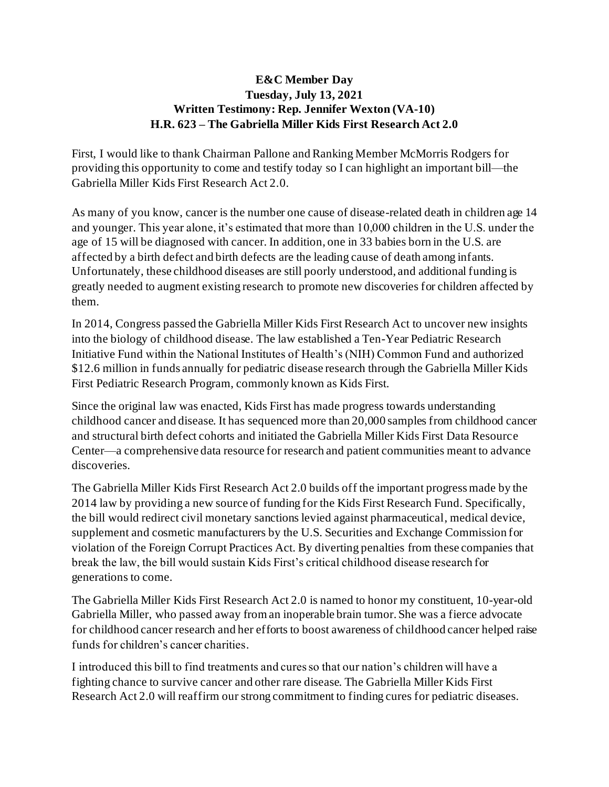## **E&C Member Day Tuesday, July 13, 2021 Written Testimony: Rep. Jennifer Wexton (VA-10) H.R. 623 – The Gabriella Miller Kids First Research Act 2.0**

First, I would like to thank Chairman Pallone and Ranking Member McMorris Rodgers for providing this opportunity to come and testify today so I can highlight an important bill—the Gabriella Miller Kids First Research Act 2.0.

As many of you know, cancer is the number one cause of disease-related death in children age 14 and younger. This year alone, it's estimated that more than 10,000 children in the U.S. under the age of 15 will be diagnosed with cancer. In addition, one in 33 babies born in the U.S. are affected by a birth defect and birth defects are the leading cause of death among infants. Unfortunately, these childhood diseases are still poorly understood, and additional funding is greatly needed to augment existing research to promote new discoveries for children affected by them.

In 2014, Congress passed the Gabriella Miller Kids First Research Act to uncover new insights into the biology of childhood disease. The law established a Ten-Year Pediatric Research Initiative Fund within the National Institutes of Health's (NIH) Common Fund and authorized \$12.6 million in funds annually for pediatric disease research through the Gabriella Miller Kids First Pediatric Research Program, commonly known as Kids First.

Since the original law was enacted, Kids First has made progress towards understanding childhood cancer and disease. It has sequenced more than 20,000 samples from childhood cancer and structural birth defect cohorts and initiated the Gabriella Miller Kids First Data Resource Center—a comprehensive data resource for research and patient communities meant to advance discoveries.

The Gabriella Miller Kids First Research Act 2.0 builds off the important progress made by the 2014 law by providing a new source of funding for the Kids First Research Fund. Specifically, the bill would redirect civil monetary sanctions levied against pharmaceutical, medical device, supplement and cosmetic manufacturers by the U.S. Securities and Exchange Commission for violation of the Foreign Corrupt Practices Act. By diverting penalties from these companies that break the law, the bill would sustain Kids First's critical childhood disease research for generations to come.

The Gabriella Miller Kids First Research Act 2.0 is named to honor my constituent, 10-year-old Gabriella Miller, who passed away from an inoperable brain tumor. She was a fierce advocate for childhood cancer research and her efforts to boost awareness of childhood cancer helped raise funds for children's cancer charities.

I introduced this bill to find treatments and cures so that our nation's children will have a fighting chance to survive cancer and other rare disease. The Gabriella Miller Kids First Research Act 2.0 will reaffirm our strong commitment to finding cures for pediatric diseases.